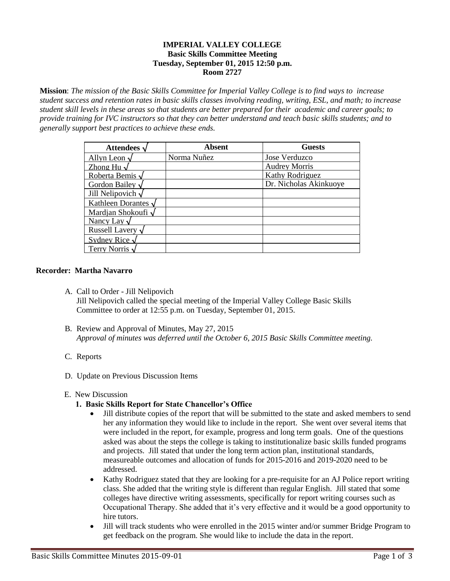### **IMPERIAL VALLEY COLLEGE Basic Skills Committee Meeting Tuesday, September 01, 2015 12:50 p.m. Room 2727**

**Mission**: *The mission of the Basic Skills Committee for Imperial Valley College is to find ways to increase student success and retention rates in basic skills classes involving reading, writing, ESL, and math; to increase student skill levels in these areas so that students are better prepared for their academic and career goals; to provide training for IVC instructors so that they can better understand and teach basic skills students; and to generally support best practices to achieve these ends.*

| Attendees                | <b>Absent</b> | <b>Guests</b>          |
|--------------------------|---------------|------------------------|
| Allyn Leon $\nu$         | Norma Nuñez   | Jose Verduzco          |
| Zhong Hu $\sqrt{ }$      |               | <b>Audrey Morris</b>   |
| Roberta Bemis            |               | Kathy Rodriguez        |
| Gordon Bailey            |               | Dr. Nicholas Akinkuoye |
| Jill Nelipovich $\sqrt$  |               |                        |
| Kathleen Dorantes        |               |                        |
| Mardian Shokoufi $\sqrt$ |               |                        |
| Nancy Lay $\sqrt$        |               |                        |
| Russell Lavery           |               |                        |
| Sydney Rice $\sqrt$      |               |                        |
| Terry Norris             |               |                        |

### **Recorder: Martha Navarro**

- A. Call to Order Jill Nelipovich Jill Nelipovich called the special meeting of the Imperial Valley College Basic Skills Committee to order at 12:55 p.m. on Tuesday, September 01, 2015.
- B. Review and Approval of Minutes, May 27, 2015 *Approval of minutes was deferred until the October 6, 2015 Basic Skills Committee meeting.*

# C. Reports

D. Update on Previous Discussion Items

# E. New Discussion

# **1. Basic Skills Report for State Chancellor's Office**

- Jill distribute copies of the report that will be submitted to the state and asked members to send her any information they would like to include in the report. She went over several items that were included in the report, for example, progress and long term goals. One of the questions asked was about the steps the college is taking to institutionalize basic skills funded programs and projects. Jill stated that under the long term action plan, institutional standards, measureable outcomes and allocation of funds for 2015-2016 and 2019-2020 need to be addressed.
- Kathy Rodriguez stated that they are looking for a pre-requisite for an AJ Police report writing class. She added that the writing style is different than regular English. Jill stated that some colleges have directive writing assessments, specifically for report writing courses such as Occupational Therapy. She added that it's very effective and it would be a good opportunity to hire tutors.
- Jill will track students who were enrolled in the 2015 winter and/or summer Bridge Program to get feedback on the program. She would like to include the data in the report.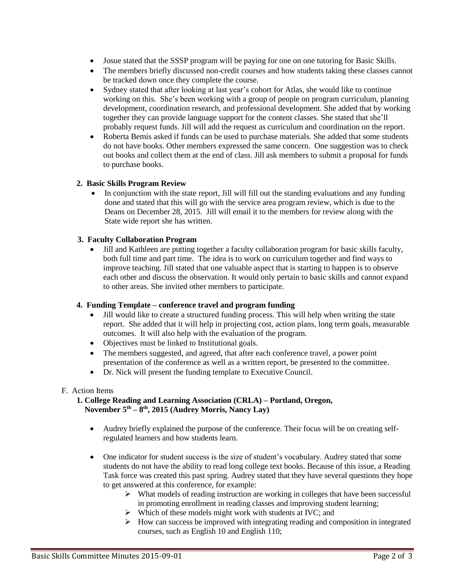- Josue stated that the SSSP program will be paying for one on one tutoring for Basic Skills.
- The members briefly discussed non-credit courses and how students taking these classes cannot be tracked down once they complete the course.
- Sydney stated that after looking at last year's cohort for Atlas, she would like to continue working on this. She's been working with a group of people on program curriculum, planning development, coordination research, and professional development. She added that by working together they can provide language support for the content classes. She stated that she'll probably request funds. Jill will add the request as curriculum and coordination on the report.
- Roberta Bemis asked if funds can be used to purchase materials. She added that some students do not have books. Other members expressed the same concern. One suggestion was to check out books and collect them at the end of class. Jill ask members to submit a proposal for funds to purchase books.

### **2. Basic Skills Program Review**

• In conjunction with the state report, Jill will fill out the standing evaluations and any funding done and stated that this will go with the service area program review, which is due to the Deans on December 28, 2015. Jill will email it to the members for review along with the State wide report she has written.

### **3. Faculty Collaboration Program**

• Jill and Kathleen are putting together a faculty collaboration program for basic skills faculty, both full time and part time. The idea is to work on curriculum together and find ways to improve teaching. Jill stated that one valuable aspect that is starting to happen is to observe each other and discuss the observation. It would only pertain to basic skills and cannot expand to other areas. She invited other members to participate.

# **4. Funding Template – conference travel and program funding**

- Jill would like to create a structured funding process. This will help when writing the state report. She added that it will help in projecting cost, action plans, long term goals, measurable outcomes. It will also help with the evaluation of the program.
- Objectives must be linked to Institutional goals.
- The members suggested, and agreed, that after each conference travel, a power point presentation of the conference as well as a written report, be presented to the committee.
- Dr. Nick will present the funding template to Executive Council.

#### F. Action Items

### **1. College Reading and Learning Association (CRLA) – Portland, Oregon, November 5th – 8 th, 2015 (Audrey Morris, Nancy Lay)**

- Audrey briefly explained the purpose of the conference. Their focus will be on creating selfregulated learners and how students learn.
- One indicator for student success is the size of student's vocabulary. Audrey stated that some students do not have the ability to read long college text books. Because of this issue, a Reading Task force was created this past spring. Audrey stated that they have several questions they hope to get answered at this conference, for example:
	- $\triangleright$  What models of reading instruction are working in colleges that have been successful in promoting enrollment in reading classes and improving student learning;
	- $\triangleright$  Which of these models might work with students at IVC; and
	- $\triangleright$  How can success be improved with integrating reading and composition in integrated courses, such as English 10 and English 110;